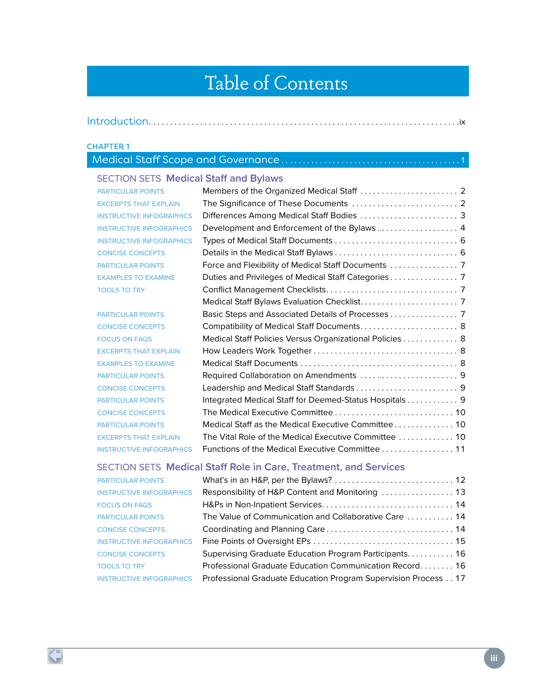# Table of Contents

|--|--|

#### CHAPTER 1

# Medical Staff Scope and Governance..........................................1

## SECTION SETS **Medical Staff and Bylaws**

| Differences Among Medical Staff Bodies  3               |
|---------------------------------------------------------|
| Development and Enforcement of the Bylaws 4             |
|                                                         |
|                                                         |
| Force and Flexibility of Medical Staff Documents  7     |
|                                                         |
|                                                         |
|                                                         |
|                                                         |
| Compatibility of Medical Staff Documents 8              |
| Medical Staff Policies Versus Organizational Policies 8 |
|                                                         |
|                                                         |
|                                                         |
| Leadership and Medical Staff Standards 9                |
| Integrated Medical Staff for Deemed-Status Hospitals 9  |
| The Medical Executive Committee  10                     |
| Medical Staff as the Medical Executive Committee 10     |
| The Vital Role of the Medical Executive Committee  10   |
| Functions of the Medical Executive Committee 11         |
|                                                         |

## SECTION SETS **Medical Staff Role in Care, Treatment, and Services**

| <b>PARTICULAR POINTS</b>        |                                                                |
|---------------------------------|----------------------------------------------------------------|
| <b>INSTRUCTIVE INFOGRAPHICS</b> | Responsibility of H&P Content and Monitoring  13               |
| <b>FOCUS ON FAQS</b>            |                                                                |
| <b>PARTICULAR POINTS</b>        | The Value of Communication and Collaborative Care  14          |
| <b>CONCISE CONCEPTS</b>         |                                                                |
| <b>INSTRUCTIVE INFOGRAPHICS</b> |                                                                |
| <b>CONCISE CONCEPTS</b>         | Supervising Graduate Education Program Participants. 16        |
| <b>TOOLS TO TRY</b>             | Professional Graduate Education Communication Record 16        |
| <b>INSTRUCTIVE INFOGRAPHICS</b> | Professional Graduate Education Program Supervision Process 17 |
|                                 |                                                                |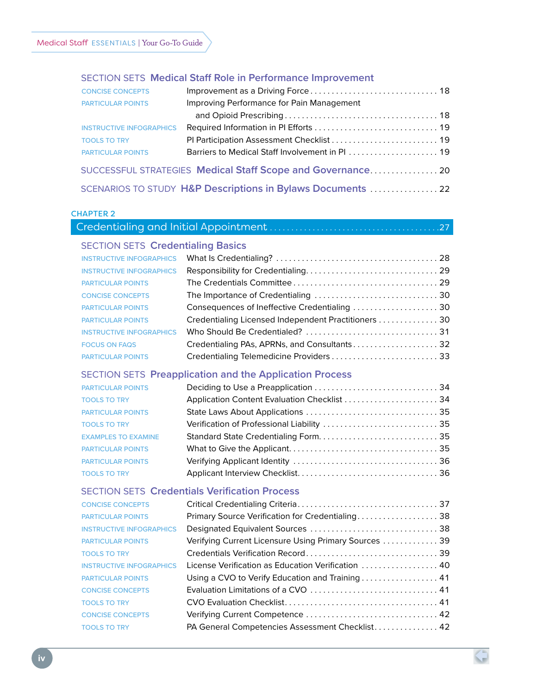#### SECTION SETS **Medical Staff Role in Performance Improvement**

| <b>CONCISE CONCEPTS</b>         |                                                             |  |
|---------------------------------|-------------------------------------------------------------|--|
| <b>PARTICULAR POINTS</b>        | Improving Performance for Pain Management                   |  |
|                                 |                                                             |  |
| <b>INSTRUCTIVE INFOGRAPHICS</b> |                                                             |  |
| <b>TOOLS TO TRY</b>             |                                                             |  |
| <b>PARTICULAR POINTS</b>        | Barriers to Medical Staff Involvement in PI  19             |  |
|                                 | SUCCESSFUL STRATEGIES Medical Staff Scope and Governance 20 |  |
|                                 | SCENARIOS TO STUDY H&P Descriptions in Bylaws Documents  22 |  |

|  | <b>HAPTEI</b> |  |  |
|--|---------------|--|--|
|  |               |  |  |

| <b>SECTION SETS Credentialing Basics</b> |  |
|------------------------------------------|--|

| <b>INSTRUCTIVE INFOGRAPHICS</b> |                                                      |  |
|---------------------------------|------------------------------------------------------|--|
| <b>INSTRUCTIVE INFOGRAPHICS</b> |                                                      |  |
| <b>PARTICULAR POINTS</b>        |                                                      |  |
| <b>CONCISE CONCEPTS</b>         |                                                      |  |
| <b>PARTICULAR POINTS</b>        | Consequences of Ineffective Credentialing  30        |  |
| <b>PARTICULAR POINTS</b>        | Credentialing Licensed Independent Practitioners  30 |  |
| <b>INSTRUCTIVE INFOGRAPHICS</b> |                                                      |  |
| <b>FOCUS ON FAQS</b>            | Credentialing PAs, APRNs, and Consultants 32         |  |
| <b>PARTICULAR POINTS</b>        |                                                      |  |

## SECTION SETS **Preapplication and the Application Process**

| <b>PARTICULAR POINTS</b>   |                                             |
|----------------------------|---------------------------------------------|
| <b>TOOLS TO TRY</b>        | Application Content Evaluation Checklist 34 |
| <b>PARTICULAR POINTS</b>   |                                             |
| <b>TOOLS TO TRY</b>        |                                             |
| <b>EXAMPLES TO EXAMINE</b> |                                             |
| <b>PARTICULAR POINTS</b>   |                                             |
| <b>PARTICULAR POINTS</b>   |                                             |
| <b>TOOLS TO TRY</b>        |                                             |

### SECTION SETS **Credentials Verification Process**

| <b>CONCISE CONCEPTS</b>         |                                                       |
|---------------------------------|-------------------------------------------------------|
| <b>PARTICULAR POINTS</b>        | Primary Source Verification for Credentialing 38      |
| <b>INSTRUCTIVE INFOGRAPHICS</b> |                                                       |
| <b>PARTICULAR POINTS</b>        | Verifying Current Licensure Using Primary Sources  39 |
| <b>TOOLS TO TRY</b>             |                                                       |
| <b>INSTRUCTIVE INFOGRAPHICS</b> | License Verification as Education Verification  40    |
| <b>PARTICULAR POINTS</b>        | Using a CVO to Verify Education and Training 41       |
| <b>CONCISE CONCEPTS</b>         |                                                       |
| <b>TOOLS TO TRY</b>             |                                                       |
| <b>CONCISE CONCEPTS</b>         |                                                       |
| <b>TOOLS TO TRY</b>             | PA General Competencies Assessment Checklist 42       |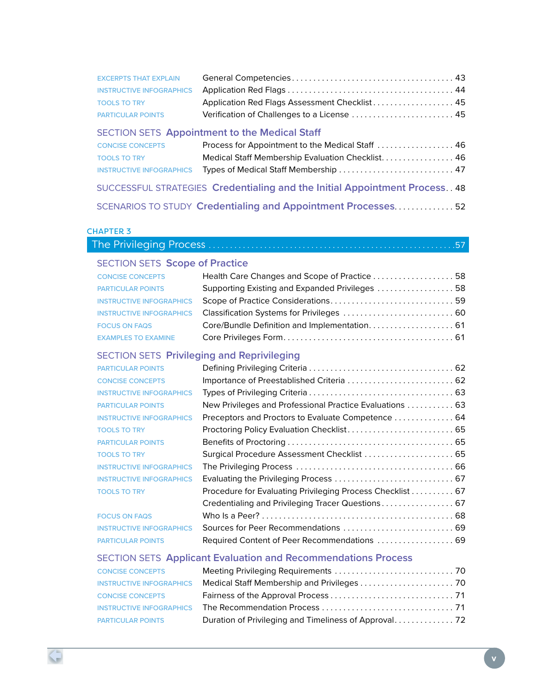| <b>EXCERPTS THAT EXPLAIN</b> |                                               |  |
|------------------------------|-----------------------------------------------|--|
|                              |                                               |  |
| <b>TOOLS TO TRY</b>          | Application Red Flags Assessment Checklist 45 |  |
| <b>PARTICULAR POINTS</b>     |                                               |  |

## SECTION SETS **Appointment to the Medical Staff**

| <b>CONCISE CONCEPTS</b> | Process for Appointment to the Medical Staff  46                            |  |
|-------------------------|-----------------------------------------------------------------------------|--|
| <b>TOOLS TO TRY</b>     | Medical Staff Membership Evaluation Checklist 46                            |  |
|                         | INSTRUCTIVE INFOGRAPHICS Types of Medical Staff Membership  47              |  |
|                         | SUCCESSFUL STRATEGIES Credentialing and the Initial Appointment Process. 48 |  |

SCENARIOS TO STUDY **Credentialing and Appointment Processes** . . . . . . . . . . . . . . 52

#### CHAPTER 3

## The Privileging Process . . . . . . . . . . . . . . . . . . . . . . . . . . . . . . . . . . . . . . . . . . . . . . . . . . . . . . . . . 57

## SECTION SETS **Scope of Practice**

| <b>CONCISE CONCEPTS</b>         | Health Care Changes and Scope of Practice  58                      |  |
|---------------------------------|--------------------------------------------------------------------|--|
| <b>PARTICULAR POINTS</b>        | Supporting Existing and Expanded Privileges  58                    |  |
| <b>INSTRUCTIVE INFOGRAPHICS</b> |                                                                    |  |
|                                 | INSTRUCTIVE INFOGRAPHICS Classification Systems for Privileges  60 |  |
| <b>FOCUS ON FAQS</b>            | Core/Bundle Definition and Implementation 61                       |  |
| <b>EXAMPLES TO EXAMINE</b>      |                                                                    |  |

## SECTION SETS **Privileging and Reprivileging**

| <b>PARTICULAR POINTS</b>        |                                                           |  |
|---------------------------------|-----------------------------------------------------------|--|
| <b>CONCISE CONCEPTS</b>         | Importance of Preestablished Criteria  62                 |  |
| <b>INSTRUCTIVE INFOGRAPHICS</b> |                                                           |  |
| <b>PARTICULAR POINTS</b>        | New Privileges and Professional Practice Evaluations  63  |  |
| <b>INSTRUCTIVE INFOGRAPHICS</b> | Preceptors and Proctors to Evaluate Competence  64        |  |
| <b>TOOLS TO TRY</b>             | Proctoring Policy Evaluation Checklist 65                 |  |
| <b>PARTICULAR POINTS</b>        |                                                           |  |
| <b>TOOLS TO TRY</b>             |                                                           |  |
| <b>INSTRUCTIVE INFOGRAPHICS</b> |                                                           |  |
| <b>INSTRUCTIVE INFOGRAPHICS</b> |                                                           |  |
| <b>TOOLS TO TRY</b>             | Procedure for Evaluating Privileging Process Checklist 67 |  |
|                                 | Credentialing and Privileging Tracer Questions 67         |  |
| <b>FOCUS ON FAQS</b>            |                                                           |  |
| <b>INSTRUCTIVE INFOGRAPHICS</b> |                                                           |  |
| <b>PARTICULAR POINTS</b>        | Required Content of Peer Recommendations  69              |  |

## SECTION SETS **Applicant Evaluation and Recommendations Process**

| <b>INSTRUCTIVE INFOGRAPHICS</b> |  |
|---------------------------------|--|
|                                 |  |
|                                 |  |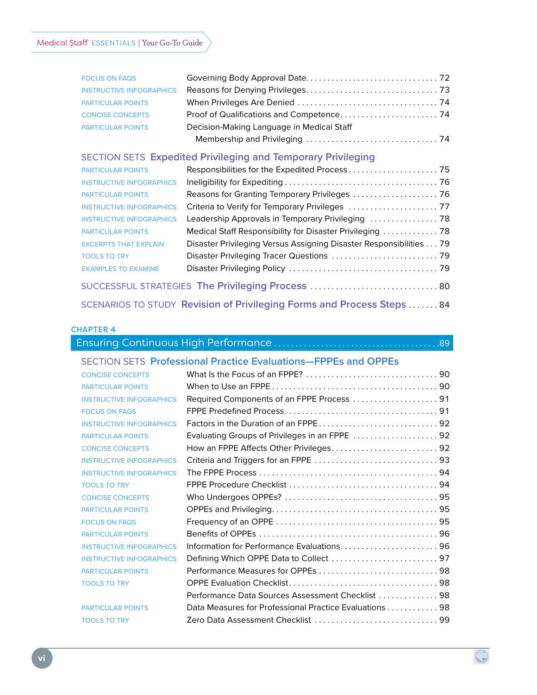| <b>FOCUS ON FAQS</b>            |                                           |  |
|---------------------------------|-------------------------------------------|--|
| <b>INSTRUCTIVE INFOGRAPHICS</b> |                                           |  |
| <b>PARTICULAR POINTS</b>        |                                           |  |
| <b>CONCISE CONCEPTS</b>         |                                           |  |
| <b>PARTICULAR POINTS</b>        | Decision-Making Language in Medical Staff |  |
|                                 |                                           |  |

#### SECTION SETS **Expedited Privileging and Temporary Privileging**

| <b>PARTICULAR POINTS</b>        |                                                                    |  |
|---------------------------------|--------------------------------------------------------------------|--|
| <b>INSTRUCTIVE INFOGRAPHICS</b> |                                                                    |  |
| <b>PARTICULAR POINTS</b>        |                                                                    |  |
| <b>INSTRUCTIVE INFOGRAPHICS</b> |                                                                    |  |
| <b>INSTRUCTIVE INFOGRAPHICS</b> | Leadership Approvals in Temporary Privileging  78                  |  |
| <b>PARTICULAR POINTS</b>        | Medical Staff Responsibility for Disaster Privileging  78          |  |
| <b>EXCERPTS THAT EXPLAIN</b>    | Disaster Privileging Versus Assigning Disaster Responsibilities 79 |  |
| <b>TOOLS TO TRY</b>             |                                                                    |  |
| <b>EXAMPLES TO EXAMINE</b>      |                                                                    |  |
|                                 | SUCCESSFUL STRATEGIES The Privileging Process  80                  |  |

## SCENARIOS TO STUDY **Revision of Privileging Forms and Process Steps** . . . . . . . 84

#### CHAPTER 4

## Ensuring Continuous High Performance . . . . . . . . . . . . . . . . . . . . . . . . . . . . . . . . . . . . . . 89 SECTION SETS **Professional Practice Evaluations—FPPEs and OPPEs** CONCISE CONCEPTS What Is the Focus of an FPPE? . . . . . . . . . . . . . . . . . . . . . . . . . . . . . . . 90 PARTICULAR POINTS When to Use an FPPE . . . . . . . . . . . . . . . . . . . . . . . . . . . . . . . . . . . . . . . 90 INSTRUCTIVE INFOGRAPHICS Required Components of an FPPE Process . . . . . . . . . . . . . . . . . . . . 91 FOCUS ON FAQS FPPE Predefined Process . . . . . . . . . . . . . . . . . . . . . . . . . . . . . . . . . . . . 91 INSTRUCTIVE INFOGRAPHICS Factors in the Duration of an FPPE . . . . . . . . . . . . . . . . . . . . . . . . . . . . 92 PARTICULAR POINTS Evaluating Groups of Privileges in an FPPE . . . . . . . . . . . . . . . . . . . . 92 CONCISE CONCEPTS How an FPPE Affects Other Privileges . . . . . . . . . . . . . . . . . . . . . . . . . 92 INSTRUCTIVE INFOGRAPHICS Criteria and Triggers for an FPPE . . . . . . . . . . . . . . . . . . . . . . . . . . . . . 93 INSTRUCTIVE INFOGRAPHICS The FPPE Process . . . . . . . . . . . . . . . . . . . . . . . . . . . . . . . . . . . . . . . . . . 94 TOOLS TO TRY FPPE Procedure Checklist . . . . . . . . . . . . . . . . . . . . . . . . . . . . . . . . . . . 94 CONCISE CONCEPTS Who Undergoes OPPEs? . . . . . . . . . . . . . . . . . . . . . . . . . . . . . . . . . . . . 95 PARTICULAR POINTS OPPEs and Privileging . . . . . . . . . . . . . . . . . . . . . . . . . . . . . . . . . . . . . . . 95 FOCUS ON FAQS Frequency of an OPPE . . . . . . . . . . . . . . . . . . . . . . . . . . . . . . . . . . . . . . 95 PARTICULAR POINTS Benefits of OPPEs . . . . . . . . . . . . . . . . . . . . . . . . . . . . . . . . . . . . . . . . . . 96 INSTRUCTIVE INFOGRAPHICS Information for Performance Evaluations......................... 96 INSTRUCTIVE INFOGRAPHICS Defining Which OPPE Data to Collect . . . . . . . . . . . . . . . . . . . . . . . . . 97 PARTICULAR POINTS Performance Measures for OPPEs . . . . . . . . . . . . . . . . . . . . . . . . . . . . 98 TOOLS TO TRY OPPE Evaluation Checklist . . . . . . . . . . . . . . . . . . . . . . . . . . . . . . . . . . . 98 Performance Data Sources Assessment Checklist . . . . . . . . . . . . . 98 PARTICULAR POINTS Data Measures for Professional Practice Evaluations . . . . . . . . . . . 98

TOOLS TO TRY Zero Data Assessment Checklist . . . . . . . . . . . . . . . . . . . . . . . . . . . . . 99